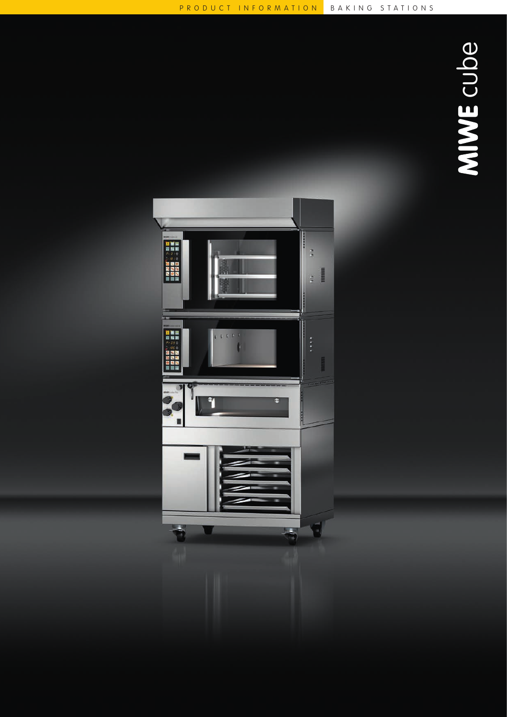

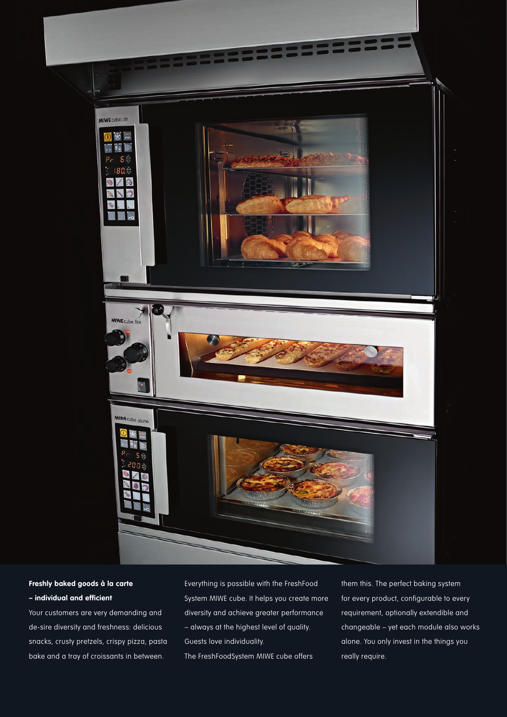

# **Freshly baked goods à la carte – individual and efficient**

Your customers are very demanding and de-sire diversity and freshness: delicious snacks, crusty pretzels, crispy pizza, pasta bake and a tray of croissants in between.

Everything is possible with the FreshFood System MIWE cube. It helps you create more diversity and achieve greater performance – always at the highest level of quality. Guests love individuality. The FreshFoodSystem MIWE cube offers

them this. The perfect baking system for every product, configurable to every requirement, optionally extendible and changeable – yet each module also works alone. You only invest in the things you really require.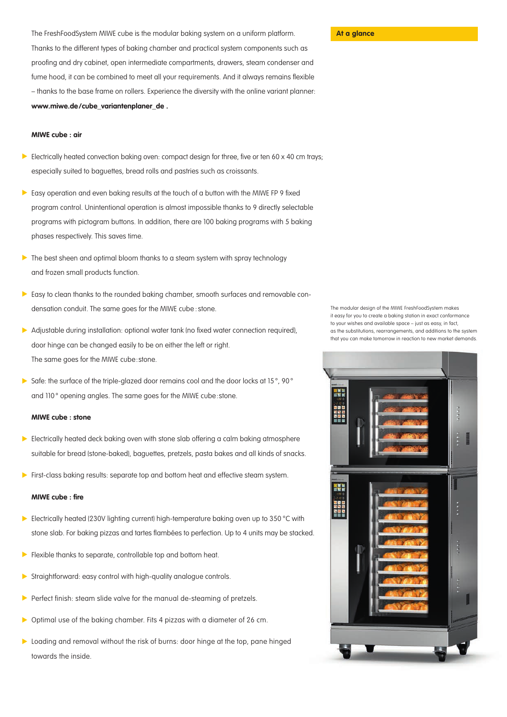The FreshFoodSystem MIWE cube is the modular baking system on a uniform platform. Thanks to the different types of baking chamber and practical system components such as proofing and dry cabinet, open intermediate compartments, drawers, steam condenser and fume hood, it can be combined to meet all your requirements. And it always remains flexible – thanks to the base frame on rollers. Experience the diversity with the online variant planner: **www.miwe.de/cube\_variantenplaner\_de .**

### **MIWE cube : air**

- Electrically heated convection baking oven: compact design for three, five or ten 60 x 40 cm trays; especially suited to baguettes, bread rolls and pastries such as croissants.
- $\triangleright$  Easy operation and even baking results at the touch of a button with the MIWE FP 9 fixed program control. Unintentional operation is almost impossible thanks to 9 directly selectable programs with pictogram buttons. In addition, there are 100 baking programs with 5 baking phases respectively. This saves time.
- The best sheen and optimal bloom thanks to a steam system with spray technology and frozen small products function.
- Easy to clean thanks to the rounded baking chamber, smooth surfaces and removable condensation conduit. The same goes for the MIWE cube : stone.
- Adjustable during installation: optional water tank (no fixed water connection required), door hinge can be changed easily to be on either the left or right. The same goes for the MIWE cube:stone.
- Safe: the surface of the triple-glazed door remains cool and the door locks at 15 $^{\circ}$ , 90 $^{\circ}$ and 110° opening angles. The same goes for the MIWE cube: stone.

### **MIWE cube : stone**

- Electrically heated deck baking oven with stone slab offering a calm baking atmosphere suitable for bread (stone-baked), baguettes, pretzels, pasta bakes and all kinds of snacks.
- **First-class baking results: separate top and bottom heat and effective steam system.**

## **MIWE cube : fire**

- Electrically heated (230V lighting current) high-temperature baking oven up to 350 °C with stone slab. For baking pizzas and tartes flambées to perfection. Up to 4 units may be stacked.
- $\blacktriangleright$ Flexible thanks to separate, controllable top and bottom heat.
- Straightforward: easy control with high-quality analogue controls.
- Perfect finish: steam slide valve for the manual de-steaming of pretzels.
- ь Optimal use of the baking chamber. Fits 4 pizzas with a diameter of 26 cm.
- Loading and removal without the risk of burns: door hinge at the top, pane hinged towards the inside.

The modular design of the MIWE FreshFoodSystem makes it easy for you to create a baking station in exact conformance to your wishes and available space – just as easy, in fact, as the substitutions, rearrangements, and additions to the system that you can make tomorrow in reaction to new market demands.



### **At a glance**